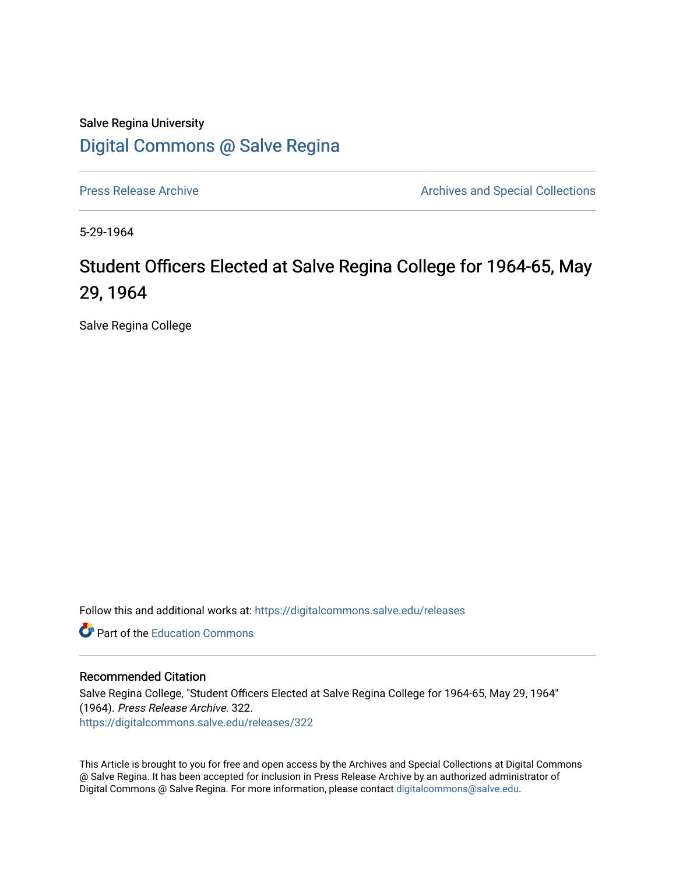Salve Regina University [Digital Commons @ Salve Regina](https://digitalcommons.salve.edu/) 

[Press Release Archive](https://digitalcommons.salve.edu/releases) **Archives** Archives and Special Collections

5-29-1964

# Student Officers Elected at Salve Regina College for 1964-65, May 29, 1964

Salve Regina College

Follow this and additional works at: [https://digitalcommons.salve.edu/releases](https://digitalcommons.salve.edu/releases?utm_source=digitalcommons.salve.edu%2Freleases%2F322&utm_medium=PDF&utm_campaign=PDFCoverPages) 

**C** Part of the [Education Commons](http://network.bepress.com/hgg/discipline/784?utm_source=digitalcommons.salve.edu%2Freleases%2F322&utm_medium=PDF&utm_campaign=PDFCoverPages)

#### Recommended Citation

Salve Regina College, "Student Officers Elected at Salve Regina College for 1964-65, May 29, 1964" (1964). Press Release Archive. 322. [https://digitalcommons.salve.edu/releases/322](https://digitalcommons.salve.edu/releases/322?utm_source=digitalcommons.salve.edu%2Freleases%2F322&utm_medium=PDF&utm_campaign=PDFCoverPages) 

This Article is brought to you for free and open access by the Archives and Special Collections at Digital Commons @ Salve Regina. It has been accepted for inclusion in Press Release Archive by an authorized administrator of Digital Commons @ Salve Regina. For more information, please contact [digitalcommons@salve.edu](mailto:digitalcommons@salve.edu).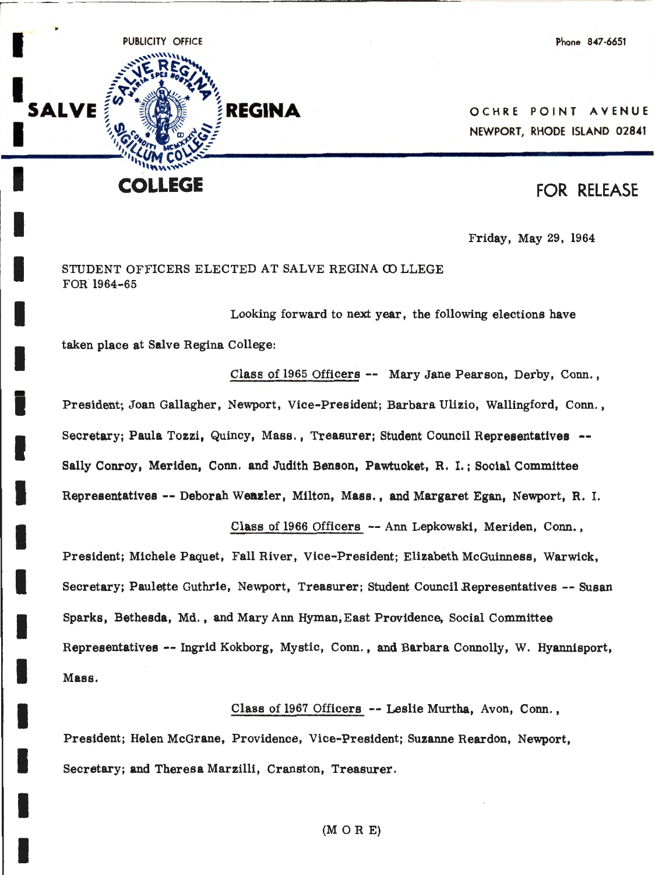Phone 847-6651



I

I

I

I

I

I

I

I

I

I

I

I

I

I

I

**OCHRE POINT AVENUE** 

## FOR RELEASE

Friday, May 29, 1964

### STUDENT OFFICERS ELECTED AT SALVE REGINA COLLEGE FOR l964-65

Looking forward to next year, the following elections have

taken place at Salve Regina College:

Class of 1965 Officers -- Mary Jane Pearson, Derby, Conn. , President; Joan Gallagher, Newport, Vice-President: Barbara Ulizio, Wallingford, Conn., Secretary; Paula Tozzi, Quincy, Mass., Treasurer; Student Council Representatives -- Sally Conroy, Meriden, Conn. and Judith Benson, Pawtucket, R, I. ; Social Committee Representatives -- Deborah Wenzler, Milton, Mass., and Margaret Egan, Newport, R. I.

Class of 1966 Officers -- Ann Lepkowski, Meriden, Conn. ,

President; Michele Paquet, Fall River, Vice-President; Elizabeth McGuinness, Warwick, Secretary; Paulette Guthrie, Newport, Treasurer; Student Council Representatives -- Susan Sparks, Bethesda, Md., and Mary Ann Hyman, East Providence, Social Committee Representatives -- Ingrid Kokborg, Mystic, Conn., and Barbara Connolly, W. Hyannisport, **Mass.** 

Class of 1967 Officers -- Leslie Murtha, Avon, Conn. , President; Helen McGrane, Providence, Vice-President; Suzanne Reardon, Newport, Secretary; and Theresa Marzilli, Cranston, Treasurer.